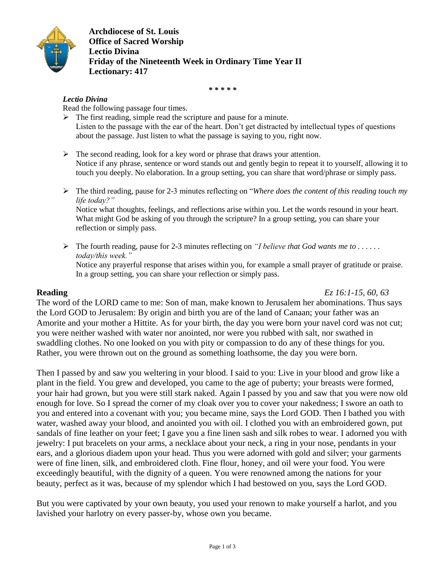

**Archdiocese of St. Louis Office of Sacred Worship Lectio Divina Friday of the Nineteenth Week in Ordinary Time Year II Lectionary: 417**

*\* \* \* \* \**

### *Lectio Divina*

Read the following passage four times.

- $\triangleright$  The first reading, simple read the scripture and pause for a minute. Listen to the passage with the ear of the heart. Don't get distracted by intellectual types of questions about the passage. Just listen to what the passage is saying to you, right now.
- $\triangleright$  The second reading, look for a key word or phrase that draws your attention. Notice if any phrase, sentence or word stands out and gently begin to repeat it to yourself, allowing it to touch you deeply. No elaboration. In a group setting, you can share that word/phrase or simply pass.
- The third reading, pause for 2-3 minutes reflecting on "*Where does the content of this reading touch my life today?"* Notice what thoughts, feelings, and reflections arise within you. Let the words resound in your heart. What might God be asking of you through the scripture? In a group setting, you can share your reflection or simply pass.
- $\triangleright$  The fourth reading, pause for 2-3 minutes reflecting on *"I believe that God wants me to ..... today/this week."* Notice any prayerful response that arises within you, for example a small prayer of gratitude or praise. In a group setting, you can share your reflection or simply pass.

**Reading** *Ez 16:1-15, 60, 63*

The word of the LORD came to me: Son of man, make known to Jerusalem her abominations. Thus says the Lord GOD to Jerusalem: By origin and birth you are of the land of Canaan; your father was an Amorite and your mother a Hittite. As for your birth, the day you were born your navel cord was not cut; you were neither washed with water nor anointed, nor were you rubbed with salt, nor swathed in swaddling clothes. No one looked on you with pity or compassion to do any of these things for you. Rather, you were thrown out on the ground as something loathsome, the day you were born.

Then I passed by and saw you weltering in your blood. I said to you: Live in your blood and grow like a plant in the field. You grew and developed, you came to the age of puberty; your breasts were formed, your hair had grown, but you were still stark naked. Again I passed by you and saw that you were now old enough for love. So I spread the corner of my cloak over you to cover your nakedness; I swore an oath to you and entered into a covenant with you; you became mine, says the Lord GOD. Then I bathed you with water, washed away your blood, and anointed you with oil. I clothed you with an embroidered gown, put sandals of fine leather on your feet; I gave you a fine linen sash and silk robes to wear. I adorned you with jewelry: I put bracelets on your arms, a necklace about your neck, a ring in your nose, pendants in your ears, and a glorious diadem upon your head. Thus you were adorned with gold and silver; your garments were of fine linen, silk, and embroidered cloth. Fine flour, honey, and oil were your food. You were exceedingly beautiful, with the dignity of a queen. You were renowned among the nations for your beauty, perfect as it was, because of my splendor which I had bestowed on you, says the Lord GOD.

But you were captivated by your own beauty, you used your renown to make yourself a harlot, and you lavished your harlotry on every passer-by, whose own you became.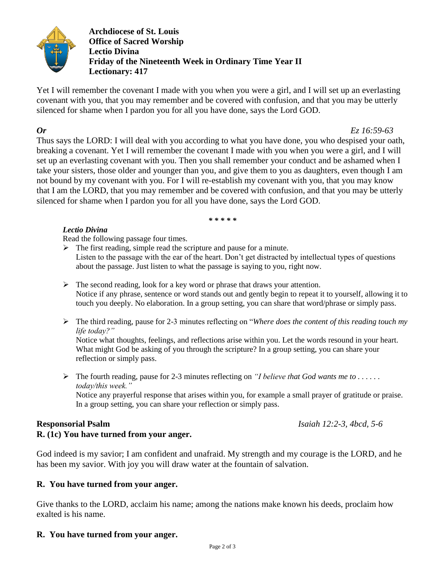

**Archdiocese of St. Louis Office of Sacred Worship Lectio Divina Friday of the Nineteenth Week in Ordinary Time Year II Lectionary: 417**

Yet I will remember the covenant I made with you when you were a girl, and I will set up an everlasting covenant with you, that you may remember and be covered with confusion, and that you may be utterly silenced for shame when I pardon you for all you have done, says the Lord GOD.

*Or Ez 16:59-63*

Thus says the LORD: I will deal with you according to what you have done, you who despised your oath, breaking a covenant. Yet I will remember the covenant I made with you when you were a girl, and I will set up an everlasting covenant with you. Then you shall remember your conduct and be ashamed when I take your sisters, those older and younger than you, and give them to you as daughters, even though I am not bound by my covenant with you. For I will re-establish my covenant with you, that you may know that I am the LORD, that you may remember and be covered with confusion, and that you may be utterly silenced for shame when I pardon you for all you have done, says the Lord GOD.

*\* \* \* \* \**

## *Lectio Divina*

Read the following passage four times.

 $\triangleright$  The first reading, simple read the scripture and pause for a minute. Listen to the passage with the ear of the heart. Don't get distracted by intellectual types of questions about the passage. Just listen to what the passage is saying to you, right now.

- $\triangleright$  The second reading, look for a key word or phrase that draws your attention. Notice if any phrase, sentence or word stands out and gently begin to repeat it to yourself, allowing it to touch you deeply. No elaboration. In a group setting, you can share that word/phrase or simply pass.
- The third reading, pause for 2-3 minutes reflecting on "*Where does the content of this reading touch my life today?"*

Notice what thoughts, feelings, and reflections arise within you. Let the words resound in your heart. What might God be asking of you through the scripture? In a group setting, you can share your reflection or simply pass.

 $\triangleright$  The fourth reading, pause for 2-3 minutes reflecting on *"I believe that God wants me to ..... today/this week."*

Notice any prayerful response that arises within you, for example a small prayer of gratitude or praise. In a group setting, you can share your reflection or simply pass.

# **Responsorial Psalm** *Isaiah 12:2-3, 4bcd, 5-6*

**R. (1c) You have turned from your anger.**

God indeed is my savior; I am confident and unafraid. My strength and my courage is the LORD, and he has been my savior. With joy you will draw water at the fountain of salvation.

# **R. You have turned from your anger.**

Give thanks to the LORD, acclaim his name; among the nations make known his deeds, proclaim how exalted is his name.

# **R. You have turned from your anger.**